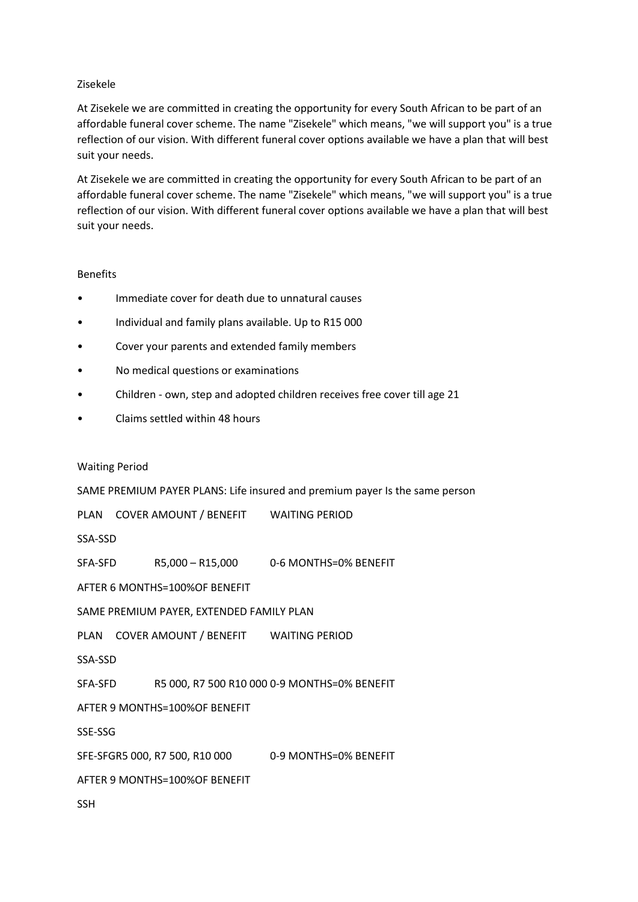### Zisekele

At Zisekele we are committed in creating the opportunity for every South African to be part of an affordable funeral cover scheme. The name "Zisekele" which means, "we will support you" is a true reflection of our vision. With different funeral cover options available we have a plan that will best suit your needs.

At Zisekele we are committed in creating the opportunity for every South African to be part of an affordable funeral cover scheme. The name "Zisekele" which means, "we will support you" is a true reflection of our vision. With different funeral cover options available we have a plan that will best suit your needs.

### Benefits

- Immediate cover for death due to unnatural causes
- Individual and family plans available. Up to R15 000
- Cover your parents and extended family members
- No medical questions or examinations
- Children own, step and adopted children receives free cover till age 21
- Claims settled within 48 hours

#### Waiting Period

SAME PREMIUM PAYER PLANS: Life insured and premium payer Is the same person

PLAN COVER AMOUNT / BENEFIT WAITING PERIOD

SSA-SSD

SFA-SFD R5,000 - R15,000 0-6 MONTHS=0% BENEFIT

AFTER 6 MONTHS=100%OF BENEFIT

SAME PREMIUM PAYER, EXTENDED FAMILY PLAN

PLAN COVER AMOUNT / BENEFIT WAITING PERIOD

SSA-SSD

SFA-SFD R5 000, R7 500 R10 000 0-9 MONTHS=0% BENEFIT

AFTER 9 MONTHS=100%OF BENEFIT

SSE-SSG

SFE-SFGR5 000, R7 500, R10 000 0-9 MONTHS=0% BENEFIT

AFTER 9 MONTHS=100%OF BENEFIT

SSH